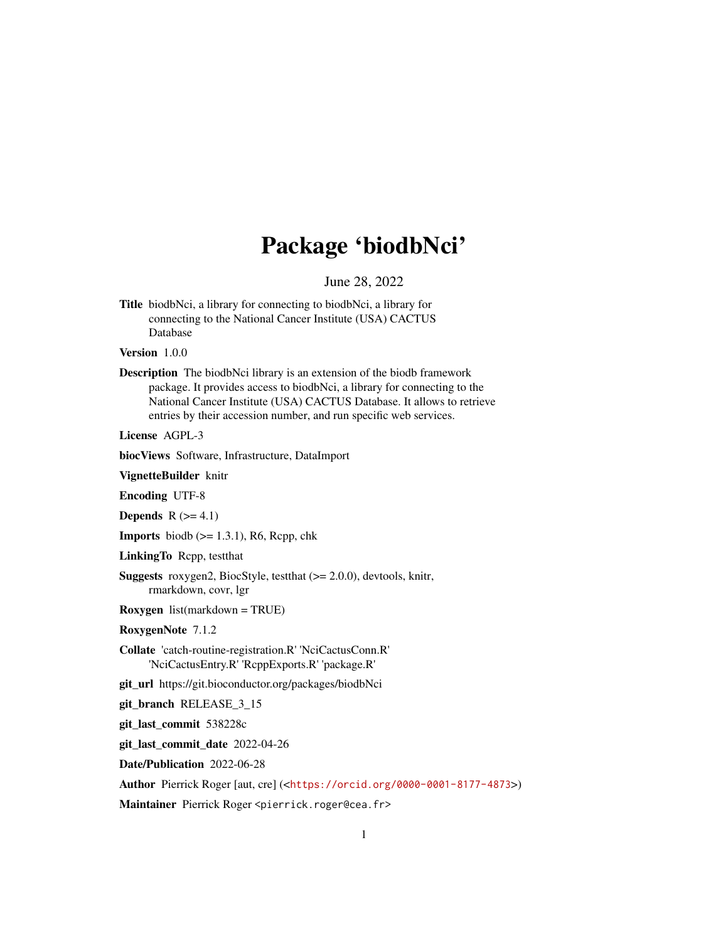## Package 'biodbNci'

June 28, 2022

<span id="page-0-0"></span>Title biodbNci, a library for connecting to biodbNci, a library for connecting to the National Cancer Institute (USA) CACTUS Database

Version 1.0.0

Description The biodbNci library is an extension of the biodb framework package. It provides access to biodbNci, a library for connecting to the National Cancer Institute (USA) CACTUS Database. It allows to retrieve entries by their accession number, and run specific web services.

License AGPL-3

biocViews Software, Infrastructure, DataImport

VignetteBuilder knitr

Encoding UTF-8

Depends  $R$  ( $>= 4.1$ )

**Imports** biodb  $(>= 1.3.1)$ , R6, Rcpp, chk

LinkingTo Rcpp, testthat

Suggests roxygen2, BiocStyle, testthat (>= 2.0.0), devtools, knitr, rmarkdown, covr, lgr

Roxygen list(markdown = TRUE)

RoxygenNote 7.1.2

Collate 'catch-routine-registration.R' 'NciCactusConn.R' 'NciCactusEntry.R' 'RcppExports.R' 'package.R'

git\_url https://git.bioconductor.org/packages/biodbNci

git\_branch RELEASE\_3\_15

git\_last\_commit 538228c

git\_last\_commit\_date 2022-04-26

Date/Publication 2022-06-28

Author Pierrick Roger [aut, cre] (<<https://orcid.org/0000-0001-8177-4873>>)

Maintainer Pierrick Roger <pierrick.roger@cea.fr>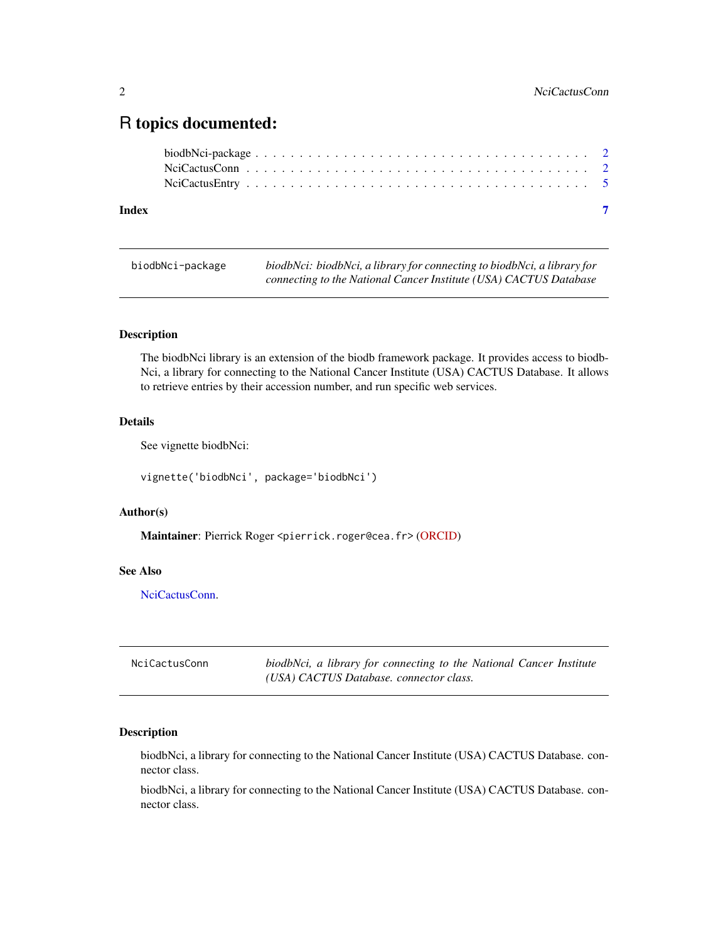### <span id="page-1-0"></span>R topics documented:

| Index | $\overline{\mathbf{z}}$ |  |
|-------|-------------------------|--|
|       |                         |  |
|       |                         |  |
|       |                         |  |

| biodbNci-package | biodbNci: biodbNci, a library for connecting to biodbNci, a library for |
|------------------|-------------------------------------------------------------------------|
|                  | connecting to the National Cancer Institute (USA) CACTUS Database       |

#### Description

The biodbNci library is an extension of the biodb framework package. It provides access to biodb-Nci, a library for connecting to the National Cancer Institute (USA) CACTUS Database. It allows to retrieve entries by their accession number, and run specific web services.

#### Details

See vignette biodbNci:

vignette('biodbNci', package='biodbNci')

#### Author(s)

Maintainer: Pierrick Roger <pierrick.roger@cea.fr> [\(ORCID\)](https://orcid.org/0000-0001-8177-4873)

#### See Also

[NciCactusConn.](#page-1-1)

<span id="page-1-1"></span>

| NciCactusConn | biodbNci, a library for connecting to the National Cancer Institute |
|---------------|---------------------------------------------------------------------|
|               | (USA) CACTUS Database. connector class.                             |

#### Description

biodbNci, a library for connecting to the National Cancer Institute (USA) CACTUS Database. connector class.

biodbNci, a library for connecting to the National Cancer Institute (USA) CACTUS Database. connector class.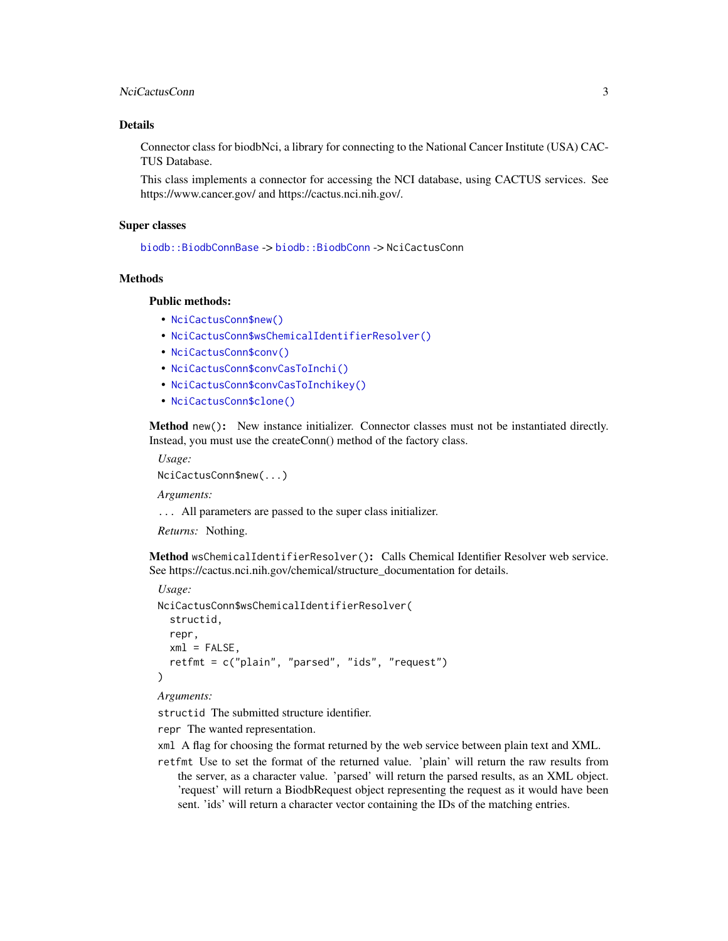#### <span id="page-2-2"></span>NciCactusConn 3

#### Details

Connector class for biodbNci, a library for connecting to the National Cancer Institute (USA) CAC-TUS Database.

This class implements a connector for accessing the NCI database, using CACTUS services. See https://www.cancer.gov/ and https://cactus.nci.nih.gov/.

#### Super classes

[biodb::BiodbConnBase](#page-0-0) -> [biodb::BiodbConn](#page-0-0) -> NciCactusConn

#### Methods

#### Public methods:

- [NciCactusConn\\$new\(\)](#page-2-0)
- [NciCactusConn\\$wsChemicalIdentifierResolver\(\)](#page-2-1)
- [NciCactusConn\\$conv\(\)](#page-3-0)
- [NciCactusConn\\$convCasToInchi\(\)](#page-3-1)
- [NciCactusConn\\$convCasToInchikey\(\)](#page-3-2)
- [NciCactusConn\\$clone\(\)](#page-3-3)

<span id="page-2-0"></span>Method new(): New instance initializer. Connector classes must not be instantiated directly. Instead, you must use the createConn() method of the factory class.

*Usage:*

NciCactusConn\$new(...)

*Arguments:*

... All parameters are passed to the super class initializer.

*Returns:* Nothing.

<span id="page-2-1"></span>Method wsChemicalIdentifierResolver(): Calls Chemical Identifier Resolver web service. See https://cactus.nci.nih.gov/chemical/structure\_documentation for details.

```
Usage:
NciCactusConn$wsChemicalIdentifierResolver(
  structid,
  repr,
 xml = FALSE,
  retfmt = c("plain", "parsed", "ids", "request")
\lambda
```
#### *Arguments:*

structid The submitted structure identifier.

repr The wanted representation.

- xml A flag for choosing the format returned by the web service between plain text and XML.
- retfmt Use to set the format of the returned value. 'plain' will return the raw results from the server, as a character value. 'parsed' will return the parsed results, as an XML object. 'request' will return a BiodbRequest object representing the request as it would have been sent. 'ids' will return a character vector containing the IDs of the matching entries.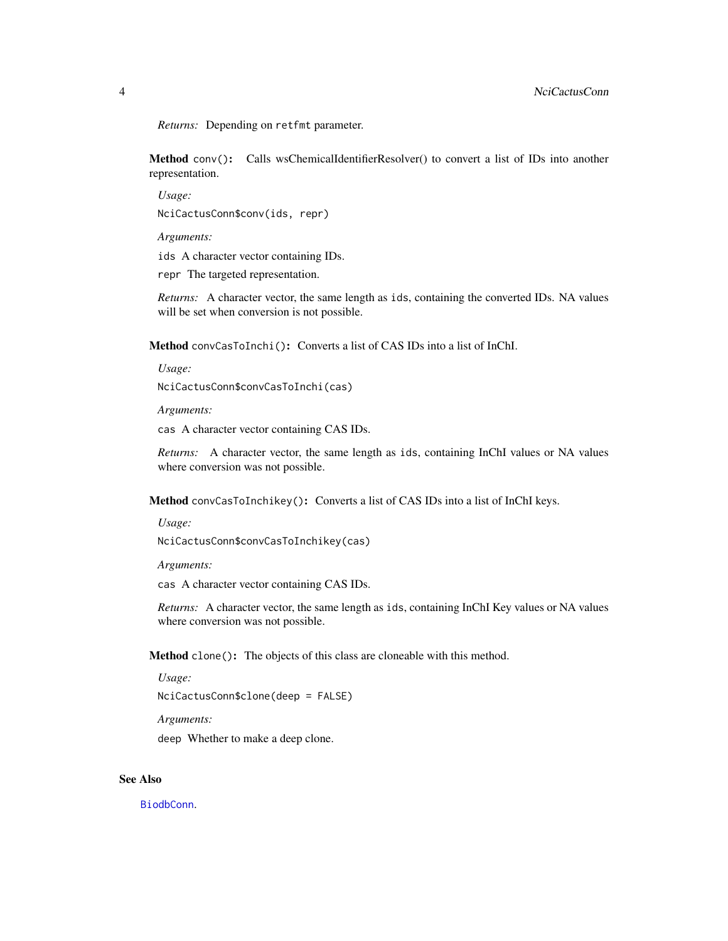<span id="page-3-4"></span>*Returns:* Depending on retfmt parameter.

<span id="page-3-0"></span>Method conv(): Calls wsChemicalIdentifierResolver() to convert a list of IDs into another representation.

*Usage:* NciCactusConn\$conv(ids, repr)

*Arguments:*

ids A character vector containing IDs.

repr The targeted representation.

*Returns:* A character vector, the same length as ids, containing the converted IDs. NA values will be set when conversion is not possible.

<span id="page-3-1"></span>Method convCasToInchi(): Converts a list of CAS IDs into a list of InChI.

*Usage:*

NciCactusConn\$convCasToInchi(cas)

*Arguments:*

cas A character vector containing CAS IDs.

*Returns:* A character vector, the same length as ids, containing InChI values or NA values where conversion was not possible.

<span id="page-3-2"></span>Method convCasToInchikey(): Converts a list of CAS IDs into a list of InChI keys.

*Usage:*

NciCactusConn\$convCasToInchikey(cas)

*Arguments:*

cas A character vector containing CAS IDs.

*Returns:* A character vector, the same length as ids, containing InChI Key values or NA values where conversion was not possible.

<span id="page-3-3"></span>Method clone(): The objects of this class are cloneable with this method.

*Usage:*

NciCactusConn\$clone(deep = FALSE)

*Arguments:*

deep Whether to make a deep clone.

#### See Also

[BiodbConn](#page-0-0).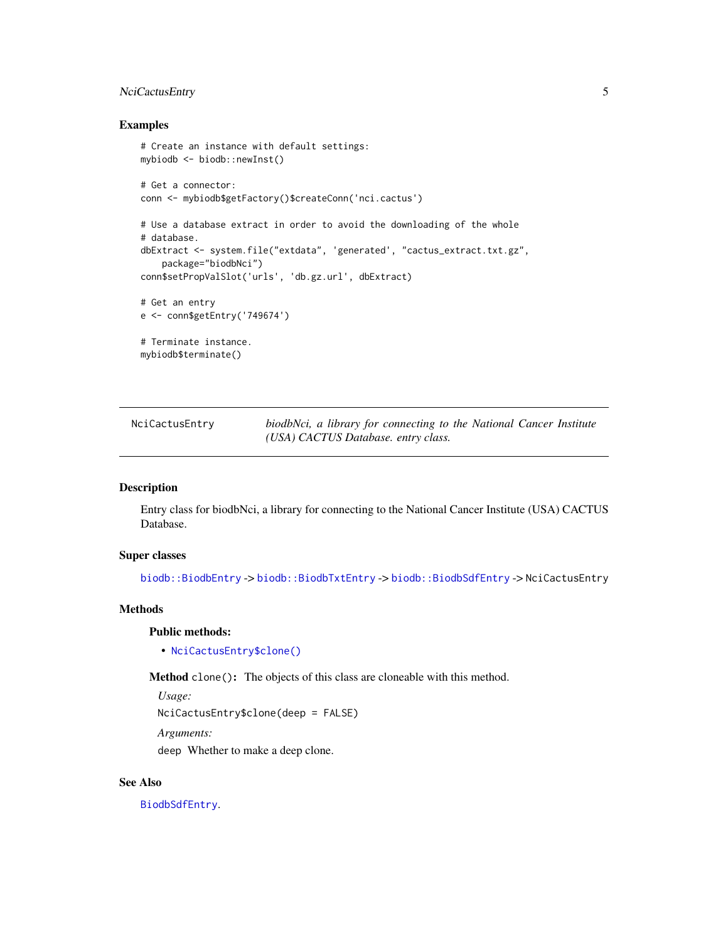#### <span id="page-4-0"></span>NciCactusEntry 5

#### Examples

```
# Create an instance with default settings:
mybiodb <- biodb::newInst()
# Get a connector:
conn <- mybiodb$getFactory()$createConn('nci.cactus')
# Use a database extract in order to avoid the downloading of the whole
# database.
dbExtract <- system.file("extdata", 'generated', "cactus_extract.txt.gz",
    package="biodbNci")
conn$setPropValSlot('urls', 'db.gz.url', dbExtract)
# Get an entry
e <- conn$getEntry('749674')
# Terminate instance.
mybiodb$terminate()
```
NciCactusEntry *biodbNci, a library for connecting to the National Cancer Institute (USA) CACTUS Database. entry class.*

#### Description

Entry class for biodbNci, a library for connecting to the National Cancer Institute (USA) CACTUS Database.

#### Super classes

[biodb::BiodbEntry](#page-0-0) -> [biodb::BiodbTxtEntry](#page-0-0) -> [biodb::BiodbSdfEntry](#page-0-0) -> NciCactusEntry

#### Methods

#### Public methods:

• [NciCactusEntry\\$clone\(\)](#page-3-3)

Method clone(): The objects of this class are cloneable with this method.

*Usage:*

NciCactusEntry\$clone(deep = FALSE)

*Arguments:*

deep Whether to make a deep clone.

#### See Also

[BiodbSdfEntry](#page-0-0).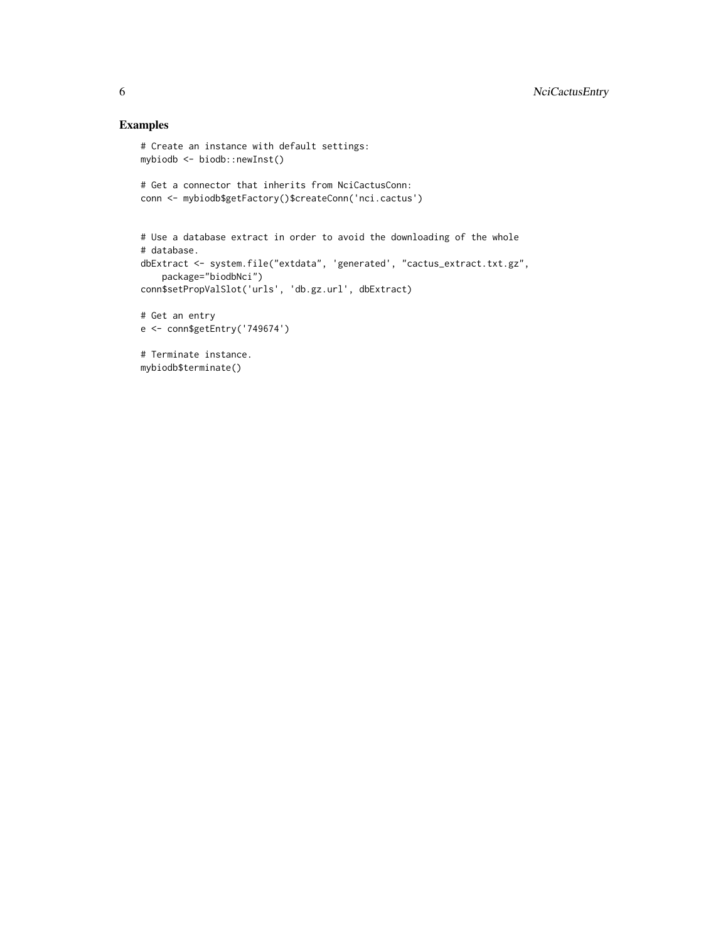#### Examples

```
# Create an instance with default settings:
mybiodb <- biodb::newInst()
# Get a connector that inherits from NciCactusConn:
conn <- mybiodb$getFactory()$createConn('nci.cactus')
# Use a database extract in order to avoid the downloading of the whole
# database.
dbExtract <- system.file("extdata", 'generated', "cactus_extract.txt.gz",
    package="biodbNci")
conn$setPropValSlot('urls', 'db.gz.url', dbExtract)
# Get an entry
e <- conn$getEntry('749674')
# Terminate instance.
mybiodb$terminate()
```